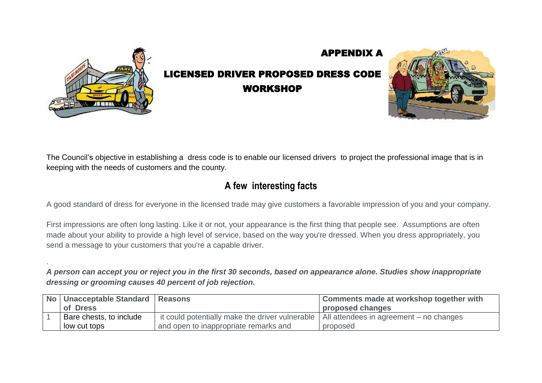

.

## LICENSED DRIVER PROPOSED DRESS CODE WORKSHOP

APPENDIX A



The Council's objective in establishing a dress code is to enable our licensed drivers to project the professional image that is in keeping with the needs of customers and the county.

## **A few interesting facts**

A good standard of dress for everyone in the licensed trade may give customers a favorable impression of you and your company.

First impressions are often long lasting. Like it or not, your appearance is the first thing that people see. Assumptions are often made about your ability to provide a high level of service, based on the way you're dressed. When you dress appropriately, you send a message to your customers that you're a capable driver.

*A person can accept you or reject you in the first 30 seconds, based on appearance alone. Studies show inappropriate dressing or grooming causes 40 percent of job rejection.*

| No   Unacceptable Standard   Reasons |                                                 | <b>Comments made at workshop together with</b> |
|--------------------------------------|-------------------------------------------------|------------------------------------------------|
| of Dress                             |                                                 | proposed changes                               |
| Bare chests, to include              | it could potentially make the driver vulnerable | All attendees in agreement – no changes        |
| low cut tops                         | and open to inappropriate remarks and           | proposed                                       |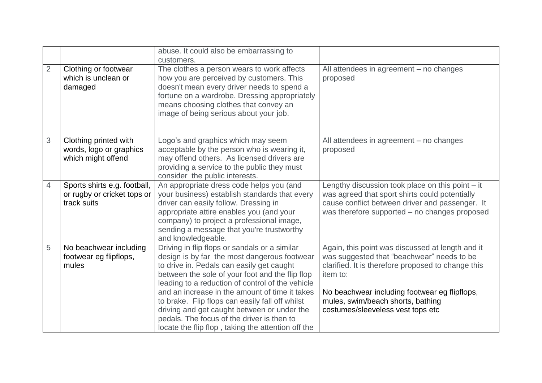|                |                                                                            | abuse. It could also be embarrassing to<br>customers.                                                                                                                                                                                                                                                                                                                                                                                                                                                     |                                                                                                                                                                                                                                                                                             |
|----------------|----------------------------------------------------------------------------|-----------------------------------------------------------------------------------------------------------------------------------------------------------------------------------------------------------------------------------------------------------------------------------------------------------------------------------------------------------------------------------------------------------------------------------------------------------------------------------------------------------|---------------------------------------------------------------------------------------------------------------------------------------------------------------------------------------------------------------------------------------------------------------------------------------------|
| $\overline{2}$ | Clothing or footwear<br>which is unclean or<br>damaged                     | The clothes a person wears to work affects<br>how you are perceived by customers. This<br>doesn't mean every driver needs to spend a<br>fortune on a wardrobe. Dressing appropriately<br>means choosing clothes that convey an<br>image of being serious about your job.                                                                                                                                                                                                                                  | All attendees in agreement - no changes<br>proposed                                                                                                                                                                                                                                         |
| 3              | Clothing printed with<br>words, logo or graphics<br>which might offend     | Logo's and graphics which may seem<br>acceptable by the person who is wearing it,<br>may offend others. As licensed drivers are<br>providing a service to the public they must<br>consider the public interests.                                                                                                                                                                                                                                                                                          | All attendees in agreement - no changes<br>proposed                                                                                                                                                                                                                                         |
| 4              | Sports shirts e.g. football,<br>or rugby or cricket tops or<br>track suits | An appropriate dress code helps you (and<br>your business) establish standards that every<br>driver can easily follow. Dressing in<br>appropriate attire enables you (and your<br>company) to project a professional image,<br>sending a message that you're trustworthy<br>and knowledgeable.                                                                                                                                                                                                            | Lengthy discussion took place on this point - it<br>was agreed that sport shirts could potentially<br>cause conflict between driver and passenger. It<br>was therefore supported - no changes proposed                                                                                      |
| 5              | No beachwear including<br>footwear eg flipflops,<br>mules                  | Driving in flip flops or sandals or a similar<br>design is by far the most dangerous footwear<br>to drive in. Pedals can easily get caught<br>between the sole of your foot and the flip flop<br>leading to a reduction of control of the vehicle<br>and an increase in the amount of time it takes<br>to brake. Flip flops can easily fall off whilst<br>driving and get caught between or under the<br>pedals. The focus of the driver is then to<br>locate the flip flop, taking the attention off the | Again, this point was discussed at length and it<br>was suggested that "beachwear" needs to be<br>clarified. It is therefore proposed to change this<br>item to:<br>No beachwear including footwear eg flipflops,<br>mules, swim/beach shorts, bathing<br>costumes/sleeveless vest tops etc |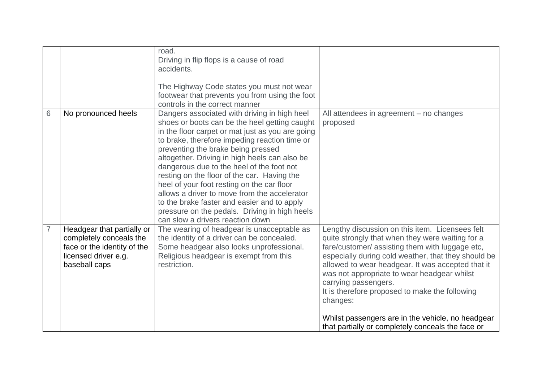|                |                                                                                                                               | road.<br>Driving in flip flops is a cause of road<br>accidents.<br>The Highway Code states you must not wear<br>footwear that prevents you from using the foot<br>controls in the correct manner                                                                                                                                                                                                                                                                                                                                                                                                                        |                                                                                                                                                                                                                                                                                                                                                                                                                                                                                                                   |
|----------------|-------------------------------------------------------------------------------------------------------------------------------|-------------------------------------------------------------------------------------------------------------------------------------------------------------------------------------------------------------------------------------------------------------------------------------------------------------------------------------------------------------------------------------------------------------------------------------------------------------------------------------------------------------------------------------------------------------------------------------------------------------------------|-------------------------------------------------------------------------------------------------------------------------------------------------------------------------------------------------------------------------------------------------------------------------------------------------------------------------------------------------------------------------------------------------------------------------------------------------------------------------------------------------------------------|
| 6              | No pronounced heels                                                                                                           | Dangers associated with driving in high heel<br>shoes or boots can be the heel getting caught<br>in the floor carpet or mat just as you are going<br>to brake, therefore impeding reaction time or<br>preventing the brake being pressed<br>altogether. Driving in high heels can also be<br>dangerous due to the heel of the foot not<br>resting on the floor of the car. Having the<br>heel of your foot resting on the car floor<br>allows a driver to move from the accelerator<br>to the brake faster and easier and to apply<br>pressure on the pedals. Driving in high heels<br>can slow a drivers reaction down | All attendees in agreement – no changes<br>proposed                                                                                                                                                                                                                                                                                                                                                                                                                                                               |
| $\overline{7}$ | Headgear that partially or<br>completely conceals the<br>face or the identity of the<br>licensed driver e.g.<br>baseball caps | The wearing of headgear is unacceptable as<br>the identity of a driver can be concealed.<br>Some headgear also looks unprofessional.<br>Religious headgear is exempt from this<br>restriction.                                                                                                                                                                                                                                                                                                                                                                                                                          | Lengthy discussion on this item. Licensees felt<br>quite strongly that when they were waiting for a<br>fare/customer/ assisting them with luggage etc,<br>especially during cold weather, that they should be<br>allowed to wear headgear. It was accepted that it<br>was not appropriate to wear headgear whilst<br>carrying passengers.<br>It is therefore proposed to make the following<br>changes:<br>Whilst passengers are in the vehicle, no headgear<br>that partially or completely conceals the face or |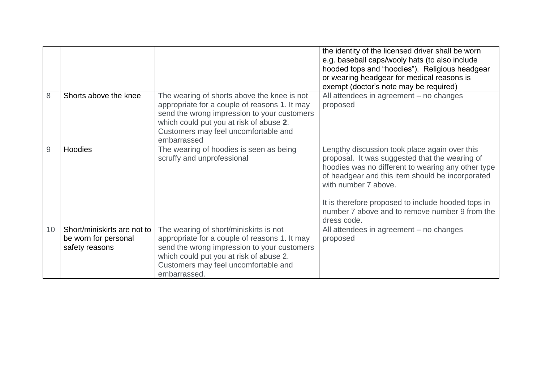|                 |                                                                       |                                                                                                                                                                                                                                               | the identity of the licensed driver shall be worn<br>e.g. baseball caps/wooly hats (to also include<br>hooded tops and "hoodies"). Religious headgear<br>or wearing headgear for medical reasons is<br>exempt (doctor's note may be required)                                                                                                            |
|-----------------|-----------------------------------------------------------------------|-----------------------------------------------------------------------------------------------------------------------------------------------------------------------------------------------------------------------------------------------|----------------------------------------------------------------------------------------------------------------------------------------------------------------------------------------------------------------------------------------------------------------------------------------------------------------------------------------------------------|
| 8               | Shorts above the knee                                                 | The wearing of shorts above the knee is not<br>appropriate for a couple of reasons 1. It may<br>send the wrong impression to your customers<br>which could put you at risk of abuse 2.<br>Customers may feel uncomfortable and<br>embarrassed | All attendees in agreement - no changes<br>proposed                                                                                                                                                                                                                                                                                                      |
| 9               | Hoodies                                                               | The wearing of hoodies is seen as being<br>scruffy and unprofessional                                                                                                                                                                         | Lengthy discussion took place again over this<br>proposal. It was suggested that the wearing of<br>hoodies was no different to wearing any other type<br>of headgear and this item should be incorporated<br>with number 7 above.<br>It is therefore proposed to include hooded tops in<br>number 7 above and to remove number 9 from the<br>dress code. |
| 10 <sup>°</sup> | Short/miniskirts are not to<br>be worn for personal<br>safety reasons | The wearing of short/miniskirts is not<br>appropriate for a couple of reasons 1. It may<br>send the wrong impression to your customers<br>which could put you at risk of abuse 2.<br>Customers may feel uncomfortable and<br>embarrassed.     | All attendees in agreement – no changes<br>proposed                                                                                                                                                                                                                                                                                                      |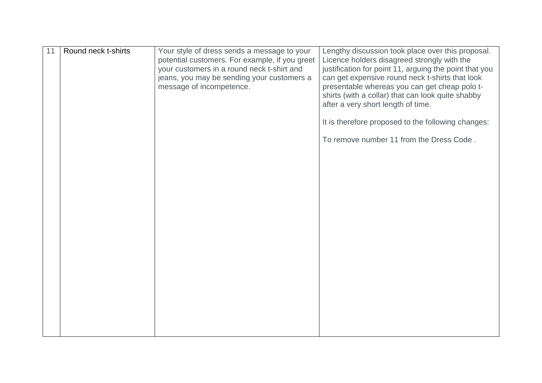| 11 | Round neck t-shirts | Your style of dress sends a message to your<br>potential customers. For example, if you greet<br>your customers in a round neck t-shirt and<br>jeans, you may be sending your customers a<br>message of incompetence. | Lengthy discussion took place over this proposal.<br>Licence holders disagreed strongly with the<br>justification for point 11, arguing the point that you<br>can get expensive round neck t-shirts that look<br>presentable whereas you can get cheap polo t-<br>shirts (with a collar) that can look quite shabby<br>after a very short length of time.<br>It is therefore proposed to the following changes:<br>To remove number 11 from the Dress Code. |
|----|---------------------|-----------------------------------------------------------------------------------------------------------------------------------------------------------------------------------------------------------------------|-------------------------------------------------------------------------------------------------------------------------------------------------------------------------------------------------------------------------------------------------------------------------------------------------------------------------------------------------------------------------------------------------------------------------------------------------------------|
|    |                     |                                                                                                                                                                                                                       |                                                                                                                                                                                                                                                                                                                                                                                                                                                             |